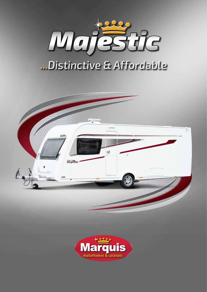

# **...Distinctive & Affordable**